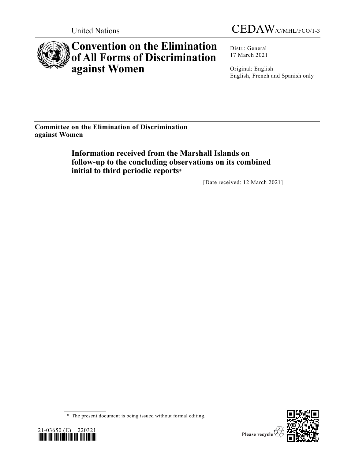



# **Convention on the Elimination of All Forms of Discrimination against Women**

Distr.: General 17 March 2021

Original: English English, French and Spanish only

**Committee on the Elimination of Discrimination against Women**

> **Information received from the Marshall Islands on follow-up to the concluding observations on its combined initial to third periodic reports**\*

> > [Date received: 12 March 2021]

<sup>\*</sup> The present document is being issued without formal editing.



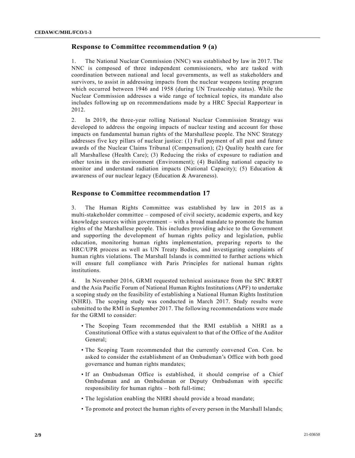# **Response to Committee recommendation 9 (a)**

1. The National Nuclear Commission (NNC) was established by law in 2017. The NNC is composed of three independent commissioners, who are tasked with coordination between national and local governments, as well as stakeholders and survivors, to assist in addressing impacts from the nuclear weapons testing program which occurred between 1946 and 1958 (during UN Trusteeship status). While the Nuclear Commission addresses a wide range of technical topics, its mandate also includes following up on recommendations made by a HRC Special Rapporteur in 2012.

2. In 2019, the three-year rolling National Nuclear Commission Strategy was developed to address the ongoing impacts of nuclear testing and account for those impacts on fundamental human rights of the Marshallese people. The NNC Strategy addresses five key pillars of nuclear justice: (1) Full payment of all past and future awards of the Nuclear Claims Tribunal (Compensation); (2) Quality health care for all Marshallese (Health Care); (3) Reducing the risks of exposure to radiation and other toxins in the environment (Environment); (4) Building national capacity to monitor and understand radiation impacts (National Capacity); (5) Education & awareness of our nuclear legacy (Education & Awareness).

# **Response to Committee recommendation 17**

3. The Human Rights Committee was established by law in 2015 as a multi-stakeholder committee – composed of civil society, academic experts, and key knowledge sources within government – with a broad mandate to promote the human rights of the Marshallese people. This includes providing advice to the Government and supporting the development of human rights policy and legisla tion, public education, monitoring human rights implementation, preparing reports to the HRC/UPR process as well as UN Treaty Bodies, and investigating complaints of human rights violations. The Marshall Islands is committed to further actions which will ensure full compliance with Paris Principles for national human rights institutions.

4. In November 2016, GRMI requested technical assistance from the SPC RRRT and the Asia Pacific Forum of National Human Rights Institutions (APF) to undertake a scoping study on the feasibility of establishing a National Human Rights Institution (NHRI). The scoping study was conducted in March 2017. Study results were submitted to the RMI in September 2017. The following recommendations were made for the GRMI to consider:

- The Scoping Team recommended that the RMI establish a NHRI as a Constitutional Office with a status equivalent to that of the Office of the Auditor General;
- The Scoping Team recommended that the currently convened Con. Con. be asked to consider the establishment of an Ombudsman's Office with both good governance and human rights mandates;
- If an Ombudsman Office is established, it should comprise of a Chief Ombudsman and an Ombudsman or Deputy Ombudsman with specific responsibility for human rights – both full-time;
- The legislation enabling the NHRI should provide a broad mandate;
- To promote and protect the human rights of every person in the Marshall Islands;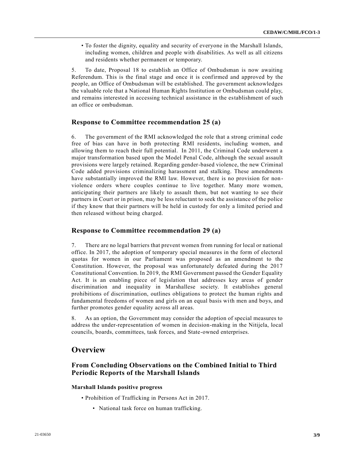• To foster the dignity, equality and security of everyone in the Marshall Islands, including women, children and people with disabilities. As well as all citizens and residents whether permanent or temporary.

5. To date, Proposal 18 to establish an Office of Ombudsman is now awaiting Referendum. This is the final stage and once it is confirmed and approved by the people, an Office of Ombudsman will be established. The government acknowledges the valuable role that a National Human Rights Institution or Ombudsman could play, and remains interested in accessing technical assistance in the establishment of such an office or ombudsman.

# **Response to Committee recommendation 25 (a)**

6. The government of the RMI acknowledged the role that a strong criminal code free of bias can have in both protecting RMI residents, including women, and allowing them to reach their full potential. In 2011, the Criminal Code underwent a major transformation based upon the Model Penal Code, although the sexual assault provisions were largely retained. Regarding gender-based violence, the new Criminal Code added provisions criminalizing harassment and stalking. These amendments have substantially improved the RMI law. However, there is no provision for nonviolence orders where couples continue to live together. Many more women, anticipating their partners are likely to assault them, but not wanting to see their partners in Court or in prison, may be less reluctant to seek the assistance of the police if they know that their partners will be held in custody for only a limited period and then released without being charged.

# **Response to Committee recommendation 29 (a)**

7. There are no legal barriers that prevent women from running for local or national office. In 2017, the adoption of temporary special measures in the form of electoral quotas for women in our Parliament was proposed as an amendment to the Constitution. However, the proposal was unfortunately defeated during the 2017 Constitutional Convention. In 2019, the RMI Government passed the Gender Equality Act. It is an enabling piece of legislation that addresses key areas of gender discrimination and inequality in Marshallese society. It establishes general prohibitions of discrimination, outlines obligations to protect the human rights and fundamental freedoms of women and girls on an equal basis with men and boys, and further promotes gender equality across all areas.

8. As an option, the Government may consider the adoption of special measures to address the under-representation of women in decision-making in the Nitijela, local councils, boards, committees, task forces, and State-owned enterprises.

# **Overview**

# **From Concluding Observations on the Combined Initial to Third Periodic Reports of the Marshall Islands**

### **Marshall Islands positive progress**

- Prohibition of Trafficking in Persons Act in 2017.
	- National task force on human trafficking.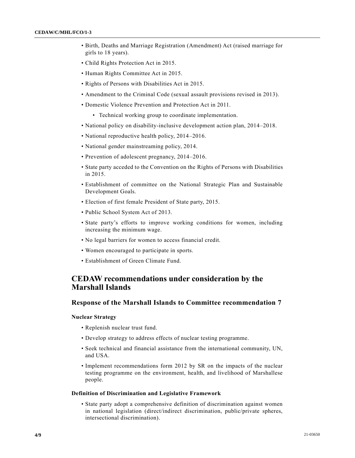- Birth, Deaths and Marriage Registration (Amendment) Act (raised marriage for girls to 18 years).
- Child Rights Protection Act in 2015.
- Human Rights Committee Act in 2015.
- Rights of Persons with Disabilities Act in 2015.
- Amendment to the Criminal Code (sexual assault provisions revised in 2013).
- Domestic Violence Prevention and Protection Act in 2011.
	- Technical working group to coordinate implementation.
- National policy on disability-inclusive development action plan, 2014–2018.
- National reproductive health policy, 2014–2016.
- National gender mainstreaming policy, 2014.
- Prevention of adolescent pregnancy, 2014–2016.
- State party acceded to the Convention on the Rights of Persons with Disabilities in 2015.
- Establishment of committee on the National Strategic Plan and Sustainable Development Goals.
- Election of first female President of State party, 2015.
- Public School System Act of 2013.
- State party's efforts to improve working conditions for women, including increasing the minimum wage.
- No legal barriers for women to access financial credit.
- Women encouraged to participate in sports.
- Establishment of Green Climate Fund.

# **CEDAW recommendations under consideration by the Marshall Islands**

# **Response of the Marshall Islands to Committee recommendation 7**

#### **Nuclear Strategy**

- Replenish nuclear trust fund.
- Develop strategy to address effects of nuclear testing programme.
- Seek technical and financial assistance from the international community, UN, and USA.
- Implement recommendations form 2012 by SR on the impacts of the nuclear testing programme on the environment, health, and livelihood of Marshallese people.

#### **Definition of Discrimination and Legislative Framework**

• State party adopt a comprehensive definition of discrimination against women in national legislation (direct/indirect discrimination, public/private spheres, intersectional discrimination).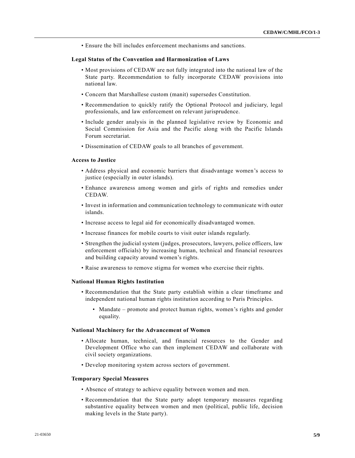• Ensure the bill includes enforcement mechanisms and sanctions.

#### **Legal Status of the Convention and Harmonization of Laws**

- Most provisions of CEDAW are not fully integrated into the national law of the State party. Recommendation to fully incorporate CEDAW provisions into national law.
- Concern that Marshallese custom (manit) supersedes Constitution.
- Recommendation to quickly ratify the Optional Protocol and judiciary, legal professionals, and law enforcement on relevant jurisprudence.
- Include gender analysis in the planned legislative review by Economic and Social Commission for Asia and the Pacific along with the Pacific Islands Forum secretariat.
- Dissemination of CEDAW goals to all branches of government.

#### **Access to Justice**

- Address physical and economic barriers that disadvantage women's access to justice (especially in outer islands).
- Enhance awareness among women and girls of rights and remedies under CEDAW.
- Invest in information and communication technology to communicate with outer islands.
- Increase access to legal aid for economically disadvantaged women.
- Increase finances for mobile courts to visit outer islands regularly.
- Strengthen the judicial system (judges, prosecutors, lawyers, police officers, law enforcement officials) by increasing human, technical and financial resources and building capacity around women's rights.
- Raise awareness to remove stigma for women who exercise their rights.

#### **National Human Rights Institution**

- Recommendation that the State party establish within a clear timeframe and independent national human rights institution according to Paris Principles.
	- Mandate promote and protect human rights, women's rights and gender equality.

# **National Machinery for the Advancement of Women**

- Allocate human, technical, and financial resources to the Gender and Development Office who can then implement CEDAW and collaborate with civil society organizations.
- Develop monitoring system across sectors of government.

#### **Temporary Special Measures**

- Absence of strategy to achieve equality between women and men.
- Recommendation that the State party adopt temporary measures regarding substantive equality between women and men (political, public life, decision making levels in the State party).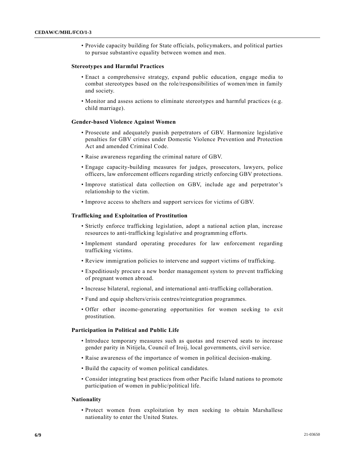• Provide capacity building for State officials, policymakers, and political parties to pursue substantive equality between women and men.

#### **Stereotypes and Harmful Practices**

- Enact a comprehensive strategy, expand public education, engage media to combat stereotypes based on the role/responsibilities of women/men in family and society.
- Monitor and assess actions to eliminate stereotypes and harmful practices (e.g. child marriage).

#### **Gender-based Violence Against Women**

- Prosecute and adequately punish perpetrators of GBV. Harmonize legislative penalties for GBV crimes under Domestic Violence Prevention and Protection Act and amended Criminal Code.
- Raise awareness regarding the criminal nature of GBV.
- Engage capacity-building measures for judges, prosecutors, lawyers, police officers, law enforcement officers regarding strictly enforcing GBV protections.
- Improve statistical data collection on GBV, include age and perpetrator's relationship to the victim.
- Improve access to shelters and support services for victims of GBV.

#### **Trafficking and Exploitation of Prostitution**

- Strictly enforce trafficking legislation, adopt a national action plan, increase resources to anti-trafficking legislative and programming efforts.
- Implement standard operating procedures for law enforcement regarding trafficking victims.
- Review immigration policies to intervene and support victims of trafficking.
- Expeditiously procure a new border management system to prevent trafficking of pregnant women abroad.
- Increase bilateral, regional, and international anti-trafficking collaboration.
- Fund and equip shelters/crisis centres/reintegration programmes.
- Offer other income-generating opportunities for women seeking to exit prostitution.

#### **Participation in Political and Public Life**

- Introduce temporary measures such as quotas and reserved seats to increase gender parity in Nitijela, Council of Iroij, local governments, civil service.
- Raise awareness of the importance of women in political decision-making.
- Build the capacity of women political candidates.
- Consider integrating best practices from other Pacific Island nations to promote participation of women in public/political life.

#### **Nationality**

• Protect women from exploitation by men seeking to obtain Marshallese nationality to enter the United States.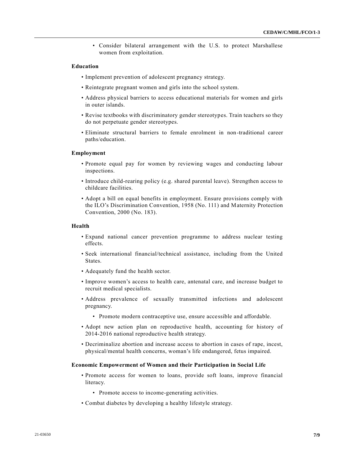• Consider bilateral arrangement with the U.S. to protect Marshallese women from exploitation.

## **Education**

- Implement prevention of adolescent pregnancy strategy.
- Reintegrate pregnant women and girls into the school system.
- Address physical barriers to access educational materials for women and girls in outer islands.
- Revise textbooks with discriminatory gender stereotypes. Train teachers so they do not perpetuate gender stereotypes.
- Eliminate structural barriers to female enrolment in non-traditional career paths/education.

# **Employment**

- Promote equal pay for women by reviewing wages and conducting labour inspections.
- Introduce child-rearing policy (e.g. shared parental leave). Strengthen access to childcare facilities.
- Adopt a bill on equal benefits in employment. Ensure provisions comply with the ILO's Discrimination Convention, 1958 (No. 111) and Maternity Protection Convention, 2000 (No. 183).

## **Health**

- Expand national cancer prevention programme to address nuclear testing effects.
- Seek international financial/technical assistance, including from the United States.
- Adequately fund the health sector.
- Improve women's access to health care, antenatal care, and increase budget to recruit medical specialists.
- Address prevalence of sexually transmitted infections and adolescent pregnancy.
	- Promote modern contraceptive use, ensure accessible and affordable.
- Adopt new action plan on reproductive health, accounting for history of 2014-2016 national reproductive health strategy.
- Decriminalize abortion and increase access to abortion in cases of rape, incest, physical/mental health concerns, woman's life endangered, fetus impaired.

#### **Economic Empowerment of Women and their Participation in Social Life**

- Promote access for women to loans, provide soft loans, improve financial literacy.
	- Promote access to income-generating activities.
- Combat diabetes by developing a healthy lifestyle strategy.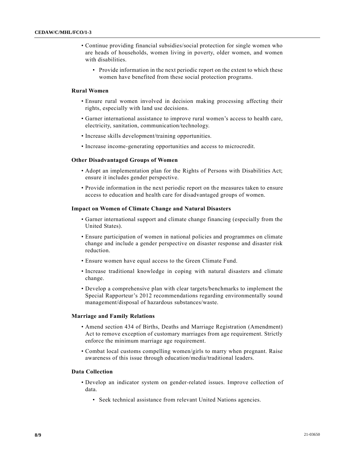- Continue providing financial subsidies/social protection for single women who are heads of households, women living in poverty, older women, and women with disabilities.
	- Provide information in the next periodic report on the extent to which these women have benefited from these social protection programs.

# **Rural Women**

- Ensure rural women involved in decision making processing affecting their rights, especially with land use decisions.
- Garner international assistance to improve rural women's access to health care, electricity, sanitation, communication/technology.
- Increase skills development/training opportunities.
- Increase income-generating opportunities and access to microcredit.

#### **Other Disadvantaged Groups of Women**

- Adopt an implementation plan for the Rights of Persons with Disabilities Act; ensure it includes gender perspective.
- Provide information in the next periodic report on the measures taken to ensure access to education and health care for disadvantaged groups of women.

#### **Impact on Women of Climate Change and Natural Disasters**

- Garner international support and climate change financing (especially from the United States).
- Ensure participation of women in national policies and programmes on climate change and include a gender perspective on disaster response and disaster risk reduction.
- Ensure women have equal access to the Green Climate Fund.
- Increase traditional knowledge in coping with natural disasters and climate change.
- Develop a comprehensive plan with clear targets/benchmarks to implement the Special Rapporteur's 2012 recommendations regarding environmentally sound management/disposal of hazardous substances/waste.

### **Marriage and Family Relations**

- Amend section 434 of Births, Deaths and Marriage Registration (Amendment) Act to remove exception of customary marriages from age requirement. Strictly enforce the minimum marriage age requirement.
- Combat local customs compelling women/girls to marry when pregnant. Raise awareness of this issue through education/media/traditional leaders.

## **Data Collection**

- Develop an indicator system on gender-related issues. Improve collection of data.
	- Seek technical assistance from relevant United Nations agencies.